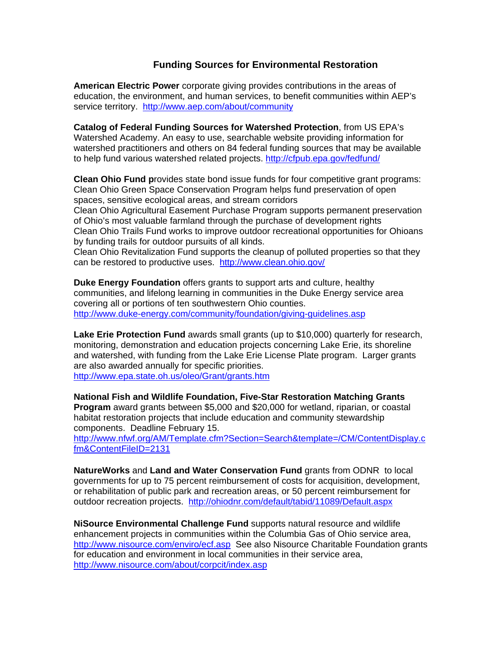## **Funding Sources for Environmental Restoration**

**American Electric Power** corporate giving provides contributions in the areas of education, the environment, and human services, to benefit communities within AEP's service territory. <http://www.aep.com/about/community>

**Catalog of Federal Funding Sources for Watershed Protection**, from US EPA's Watershed Academy. An easy to use, searchable website providing information for watershed practitioners and others on 84 federal funding sources that may be available to help fund various watershed related projects.<http://cfpub.epa.gov/fedfund/>

**Clean Ohio Fund p**rovides state bond issue funds for four competitive grant programs: Clean Ohio Green Space Conservation Program helps fund preservation of open spaces, sensitive ecological areas, and stream corridors

Clean Ohio Agricultural Easement Purchase Program supports permanent preservation of Ohio's most valuable farmland through the purchase of development rights Clean Ohio Trails Fund works to improve outdoor recreational opportunities for Ohioans by funding trails for outdoor pursuits of all kinds.

Clean Ohio Revitalization Fund supports the cleanup of polluted properties so that they can be restored to productive uses. <http://www.clean.ohio.gov/>

**Duke Energy Foundation** offers grants to support arts and culture, healthy communities, and lifelong learning in communities in the Duke Energy service area covering all or portions of ten southwestern Ohio counties. <http://www.duke-energy.com/community/foundation/giving-guidelines.asp>

**Lake Erie Protection Fund** awards small grants (up to \$10,000) quarterly for research, monitoring, demonstration and education projects concerning Lake Erie, its shoreline and watershed, with funding from the Lake Erie License Plate program. Larger grants are also awarded annually for specific priorities.

<http://www.epa.state.oh.us/oleo/Grant/grants.htm>

**National Fish and Wildlife Foundation, Five-Star Restoration Matching Grants Program** award grants between \$5,000 and \$20,000 for wetland, riparian, or coastal habitat restoration projects that include education and community stewardship components. Deadline February 15.

[http://www.nfwf.org/AM/Template.cfm?Section=Search&template=/CM/ContentDisplay.c](http://www.nfwf.org/AM/Template.cfm?Section=Search&template=/CM/ContentDisplay.cfm&ContentFileID=2131) [fm&ContentFileID=2131](http://www.nfwf.org/AM/Template.cfm?Section=Search&template=/CM/ContentDisplay.cfm&ContentFileID=2131) 

**NatureWorks** and **Land and Water Conservation Fund** grants from ODNR to local governments for up to 75 percent reimbursement of costs for acquisition, development, or rehabilitation of public park and recreation areas, or 50 percent reimbursement for outdoor recreation projects. <http://ohiodnr.com/default/tabid/11089/Default.aspx>

**NiSource Environmental Challenge Fund** supports natural resource and wildlife enhancement projects in communities within the Columbia Gas of Ohio service area, <http://www.nisource.com/enviro/ecf.asp> See also Nisource Charitable Foundation grants for education and environment in local communities in their service area, <http://www.nisource.com/about/corpcit/index.asp>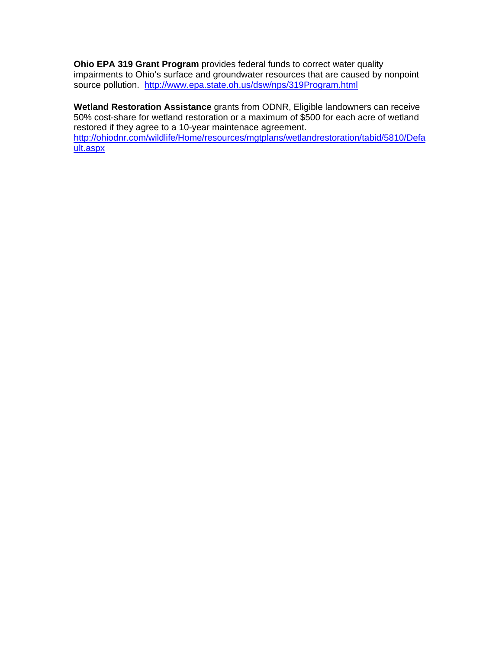**Ohio EPA 319 Grant Program** provides federal funds to correct water quality impairments to Ohio's surface and groundwater resources that are caused by nonpoint source pollution. <http://www.epa.state.oh.us/dsw/nps/319Program.html>

**Wetland Restoration Assistance** grants from ODNR, Eligible landowners can receive 50% cost-share for wetland restoration or a maximum of \$500 for each acre of wetland restored if they agree to a 10-year maintenace agreement. [http://ohiodnr.com/wildlife/Home/resources/mgtplans/wetlandrestoration/tabid/5810/Defa](http://ohiodnr.com/wildlife/Home/resources/mgtplans/wetlandrestoration/tabid/5810/Default.aspx) [ult.aspx](http://ohiodnr.com/wildlife/Home/resources/mgtplans/wetlandrestoration/tabid/5810/Default.aspx)